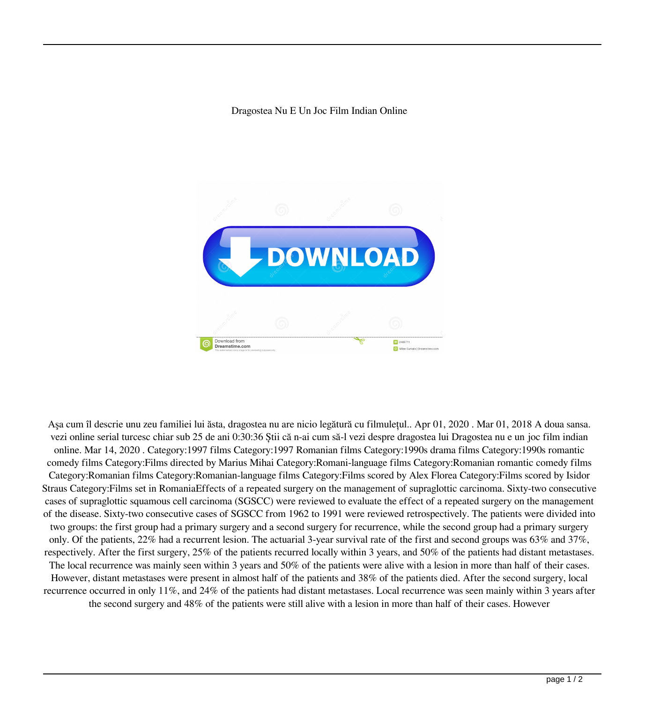Dragostea Nu E Un Joc Film Indian Online



Aşa cum îl descrie unu zeu familiei lui ăsta, dragostea nu are nicio legătură cu filmulețul.. Apr 01, 2020 . Mar 01, 2018 A doua sansa. vezi online serial turcesc chiar sub 25 de ani 0:30:36 Știi că n-ai cum să-l vezi despre dragostea lui Dragostea nu e un joc film indian online. Mar 14, 2020 . Category:1997 films Category:1997 Romanian films Category:1990s drama films Category:1990s romantic comedy films Category:Films directed by Marius Mihai Category:Romani-language films Category:Romanian romantic comedy films Category:Romanian films Category:Romanian-language films Category:Films scored by Alex Florea Category:Films scored by Isidor Straus Category:Films set in RomaniaEffects of a repeated surgery on the management of supraglottic carcinoma. Sixty-two consecutive cases of supraglottic squamous cell carcinoma (SGSCC) were reviewed to evaluate the effect of a repeated surgery on the management of the disease. Sixty-two consecutive cases of SGSCC from 1962 to 1991 were reviewed retrospectively. The patients were divided into two groups: the first group had a primary surgery and a second surgery for recurrence, while the second group had a primary surgery only. Of the patients, 22% had a recurrent lesion. The actuarial 3-year survival rate of the first and second groups was 63% and 37%, respectively. After the first surgery, 25% of the patients recurred locally within 3 years, and 50% of the patients had distant metastases. The local recurrence was mainly seen within 3 years and 50% of the patients were alive with a lesion in more than half of their cases. However, distant metastases were present in almost half of the patients and 38% of the patients died. After the second surgery, local recurrence occurred in only 11%, and 24% of the patients had distant metastases. Local recurrence was seen mainly within 3 years after the second surgery and 48% of the patients were still alive with a lesion in more than half of their cases. However